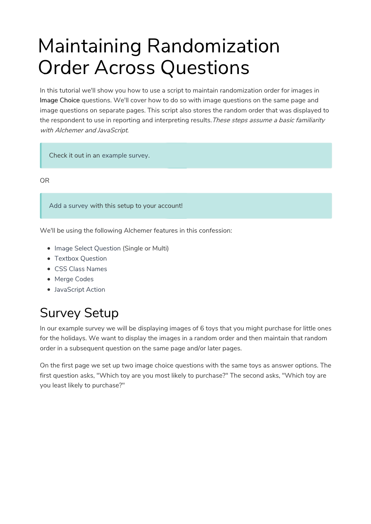# Maintaining Randomization Order Across Questions

In this tutorial we'll show you how to use a script to maintain randomization order for images in Image Choice questions. We'll cover how to do so with image questions on the same page and image questions on separate pages. This script also stores the random order that was displayed to the respondent to use in reporting and interpreting results. These steps assume a basic familiarity with Alchemer and JavaScript.

Check it out in an example survey.

OR

Add a survey with this setup to your account!

We'll be using the following Alchemer features in this confession:

- Image Select Question (Single or Multi)
- Textbox Question
- CSS Class Names
- Merge Codes
- JavaScript Action

# Survey Setup

In our example survey we will be displaying images of 6 toys that you might purchase for little ones for the holidays. We want to display the images in a random order and then maintain that random order in a subsequent question on the same page and/or later pages.

On the first page we set up two image choice questions with the same toys as answer options. The first question asks, "Which toy are you most likely to purchase?" The second asks, "Which toy are you least likely to purchase?"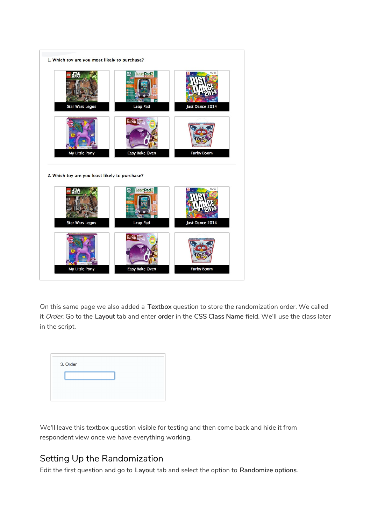

On this same page we also added a Textbox question to store the randomization order. We called it Order. Go to the Layout tab and enter order in the CSS Class Name field. We'll use the class later in the script.

| 3. Order |  |  |
|----------|--|--|
|          |  |  |
|          |  |  |
|          |  |  |

We'll leave this textbox question visible for testing and then come back and hide it from respondent view once we have everything working.

### Setting Up the Randomization

Edit the first question and go to Layout tab and select the option to Randomize options.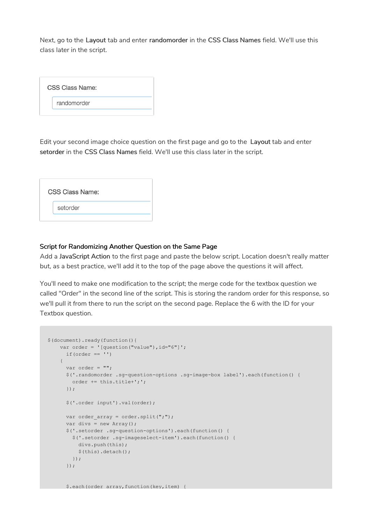Next, go to the Layout tab and enter randomorder in the CSS Class Names field. We'll use this class later in the script.

| <b>CSS Class Name:</b> |  |
|------------------------|--|
| randomorder            |  |
|                        |  |

Edit your second image choice question on the first page and go to the Layout tab and enter setorder in the CSS Class Names field. We'll use this class later in the script.

| <b>CSS Class Name:</b> |
|------------------------|
| setorder               |
|                        |

#### Script for Randomizing Another Question on the Same Page

\$.each(order\_array,function(key,item) {

Add a JavaScript Action to the first page and paste the below script. Location doesn't really matter but, as a best practice, we'll add it to the top of the page above the questions it will affect.

You'll need to make one modification to the script; the merge code for the textbox question we called "Order" in the second line of the script. This is storing the random order for this response, so we'll pull it from there to run the script on the second page. Replace the 6 with the ID for your Textbox question.

```
$(document).ready(function(){
   var order = '(question('value'); id="6");
     if(order == ''){
     var order = "";
     $('.randomorder .sg-question-options .sg-image-box label').each(function() {
       order += this.title+';';
     });
     $('.order input').val(order);
     var order_array = order.split(";");
     var divs = new Array();
     $('.setorder .sg-question-options').each(function() {
        $('.setorder .sg-imageselect-item').each(function() {
         divs.push(this);
         $(this).detach();
       });
      });
```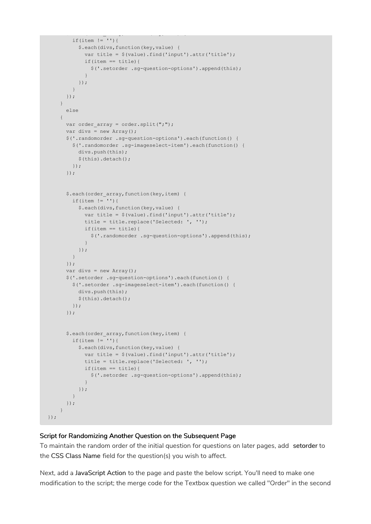```
\mathcal{L}(\mathcal{L}(\mathcal{L}(\mathcal{L}(\mathcal{L}(\mathcal{L}(\mathcal{L}(\mathcal{L}(\mathcal{L}(\mathcal{L}(\mathcal{L}(\mathcal{L}(\mathcal{L}(\mathcal{L}(\mathcal{L}(\mathcal{L}(\mathcal{L}(\mathcal{L}(\mathcal{L}(\mathcal{L}(\mathcal{L}(\mathcal{L}(\mathcal{L}(\mathcal{L}(\mathcal{L}(\mathcal{L}(\mathcal{L}(\mathcal{L}(\mathcal{L}(\mathcal{L}(\mathcal{L}(\mathcal{L}(\mathcal{L}(\mathcal{L}(\mathcal{L}(\mathcal{L}(\mathcal{if(item != ''){
             $.each(divs,function(key,value) {
                var title = $(value).find('input').attr('title');
                if(item == title){
                  $('.setorder .sg-question-options').append(this);
                }
             });
          }
        });
     }
        else
     {
       var order array = order.split(";");
       var divs = new Array();
       $('.randomorder .sg-question-options').each(function() {
          $('.randomorder .sg-imageselect-item').each(function() {
            divs.push(this);
            $(this).detach();
          });
        });
        $.each(order array, function(key, item) {
          if(item != ''){
             $.each(divs,function(key,value) {
               var title = $(value).find('input').attr('title');
               title = title.replace('Selected: ', '');
               if(item == title){
                  $('.randomorder .sg-question-options').append(this);
                }
             });
          }
       });
       var divs = new Array();
        $('.setorder .sg-question-options').each(function() {
          $('.setorder .sg-imageselect-item').each(function() {
            divs.push(this);
             $(this).detach();
          });
        });
        $.each(order array, function(key, item) {
          if(item != '){
             $.each(divs,function(key,value) {
               var title = $(value).find('input').attr('title');
               title = title.replace('Selected: ', '');
               if(item == title){
                   $('.setorder .sg-question-options').append(this);
                }
             });
          }
       });
     }
});
```
#### Script for Randomizing Another Question on the Subsequent Page

To maintain the random order of the initial question for questions on later pages, add setorder to the CSS Class Name field for the question(s) you wish to affect.

Next, add a JavaScript Action to the page and paste the below script. You'll need to make one modification to the script; the merge code for the Textbox question we called "Order" in the second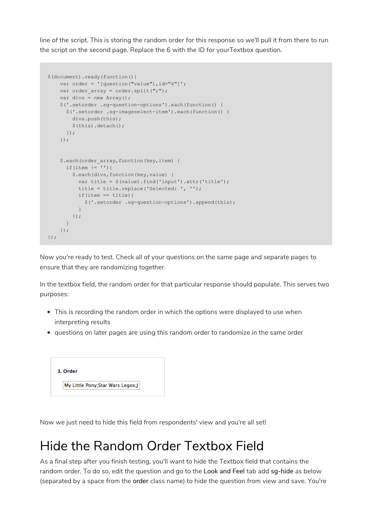line of the script. This is storing the random order for this response so we'll pull it from there to run the script on the second page. Replace the 6 with the ID for yourTextbox question.

```
$(document).ready(function(){
   var order = '(question('value'); id="6");
   var order array = order.split(";");
   var divs = new Array();
   $('.setorder .sg-question-options').each(function() {
     $('.setorder .sg-imageselect-item').each(function() {
       divs.push(this);
       $(this).detach();
     });
    });
    $.each(order array, function(key, item) {
     if(item != '){
       $.each(divs,function(key,value) {
         var title = $(value).find('input').attr('title');
          title = title.replace('Selected: ', '');
         if(item == title){
           $('.setorder .sg-question-options').append(this);
         }
       });
     }
   });
});
```
Now you're ready to test. Check all of your questions on the same page and separate pages to ensure that they are randomizing together.

In the textbox field, the random order for that particular response should populate. This serves two purposes:

- This is recording the random order in which the options were displayed to use when interpreting results
- questions on later pages are using this random order to randomize in the same order

| 3. Order                         |  |
|----------------------------------|--|
| My Little Pony;Star Wars Legos;J |  |

Now we just need to hide this field from respondents' view and you're all set!

## Hide the Random Order Textbox Field

As a final step after you finish testing, you'll want to hide the Textbox field that contains the random order. To do so, edit the question and go to the Look and Feel tab add sg-hide as below (separated by a space from the order class name) to hide the question from view and save. You're